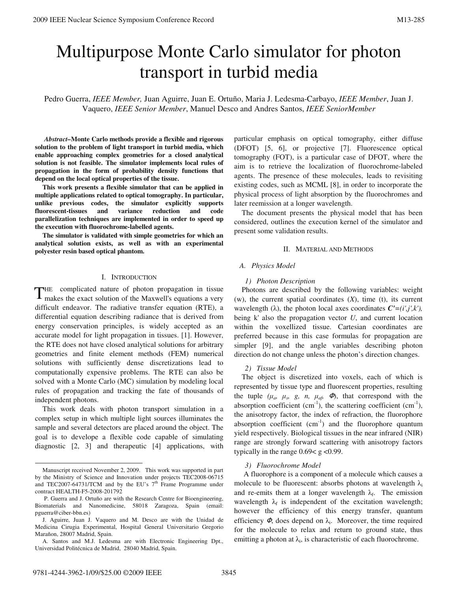# Multipurpose Monte Carlo simulator for photon transport in turbid media

Pedro Guerra, *IEEE Member,* Juan Aguirre, Juan E. Ortuño, Maria J. Ledesma-Carbayo, *IEEE Member*, Juan J. Vaquero, *IEEE Senior Member*, Manuel Desco and Andres Santos, *IEEE SeniorMember* 

 *Abstract–***Monte Carlo methods provide a flexible and rigorous solution to the problem of light transport in turbid media, which enable approaching complex geometries for a closed analytical solution is not feasible. The simulator implements local rules of propagation in the form of probability density functions that depend on the local optical properties of the tissue.** 

**This work presents a flexible simulator that can be applied in multiple applications related to optical tomography. In particular, unlike previous codes, the simulator explicitly supports fluorescent-tissues and variance reduction and code parallelization techniques are implemented in order to speed up the execution with fluorochrome-labelled agents.** 

**The simulator is validated with simple geometries for which an analytical solution exists, as well as with an experimental polyester resin based optical phantom.** 

# I. INTRODUCTION

THE complicated nature of photon propagation in tissue THE complicated nature of photon propagation in tissue<br>makes the exact solution of the Maxwell's equations a very difficult endeavor. The radiative transfer equation (RTE), a differential equation describing radiance that is derived from energy conservation principles, is widely accepted as an accurate model for light propagation in tissues. [1]. However, the RTE does not have closed analytical solutions for arbitrary geometries and finite element methods (FEM) numerical solutions with sufficiently dense discretizations lead to computationally expensive problems. The RTE can also be solved with a Monte Carlo (MC) simulation by modeling local rules of propagation and tracking the fate of thousands of independent photons.

This work deals with photon transport simulation in a complex setup in which multiple light sources illuminates the sample and several detectors are placed around the object. The goal is to develope a flexible code capable of simulating diagnostic [2, 3] and therapeutic [4] applications, with

particular emphasis on optical tomography, either diffuse (DFOT) [5, 6], or projective [7]. Fluorescence optical tomography (FOT), is a particular case of DFOT, where the aim is to retrieve the localization of fluorochrome-labeled agents. The presence of these molecules, leads to revisiting existing codes, such as MCML [8], in order to incorporate the physical process of light absorption by the fluorochromes and later reemission at a longer wavelength.

The document presents the physical model that has been considered, outlines the execution kernel of the simulator and present some validation results.

#### II. MATERIAL AND METHODS

#### *A. Physics Model*

#### *1) Photon Description*

Photons are described by the following variables: weight (w), the current spatial coordinates  $(X)$ , time  $(t)$ , its current wavelength ( $\lambda$ ), the photon local axes coordinates  $C' = (i', j', k')$ , being k' also the propagation vector *U*, and current location within the voxellized tissue. Cartesian coordinates are preferred because in this case formulas for propagation are simpler [9], and the angle variables describing photon direction do not change unless the photon's direction changes.

#### *2) Tissue Model*

The object is discretized into voxels, each of which is represented by tissue type and fluorescent properties, resulting the tuple  $(\mu_a, \mu_s, g, n, \mu_{a\beta}, \Phi)$ , that correspond with the absorption coefficient (cm<sup>-1</sup>), the scattering coefficient (cm<sup>-1</sup>), the anisotropy factor, the index of refraction, the fluorophore absorption coefficient  $(cm^{-1})$  and the fluorophore quantum yield respectively. Biological tissues in the near infrared (NIR) range are strongly forward scattering with anisotropy factors typically in the range  $0.69 < g < 0.99$ .

#### *3) Fluorochrome Model*

 A fluorophore is a component of a molecule which causes a molecule to be fluorescent: absorbs photons at wavelength  $\lambda_i$ and re-emits them at a longer wavelength  $\lambda_f$ . The emission wavelength  $\lambda_f$  is independent of the excitation wavelength; however the efficiency of this energy transfer, quantum efficiency  $\phi$ , does depend on  $\lambda_i$ . Moreover, the time required for the molecule to relax and return to ground state, thus emitting a photon at  $\lambda_i$ , is characteristic of each fluorochrome.

Manuscript received November 2, 2009. This work was supported in part by the Ministry of Science and Innovation under projects TEC2008-06715 and TEC2007-64731/TCM and by the EU's  $7<sup>th</sup>$  Frame Programme under contract HEALTH-F5-2008-201792

P. Guerra and J. Ortuño are with the Research Centre for Bioengineering, Biomaterials and Nanomedicine, 58018 Zaragoza, Spain (email: pguerra@ciber-bbn.es)

J. Aguirre, Juan J. Vaquero and M. Desco are with the Unidad de Medicina Cirugia Experimental, Hospital General Universitario Gregorio Marañon, 28007 Madrid, Spain.

A. Santos and M.J. Ledesma are with Electronic Engineering Dpt., Universidad Politécnica de Madrid, 28040 Madrid, Spain.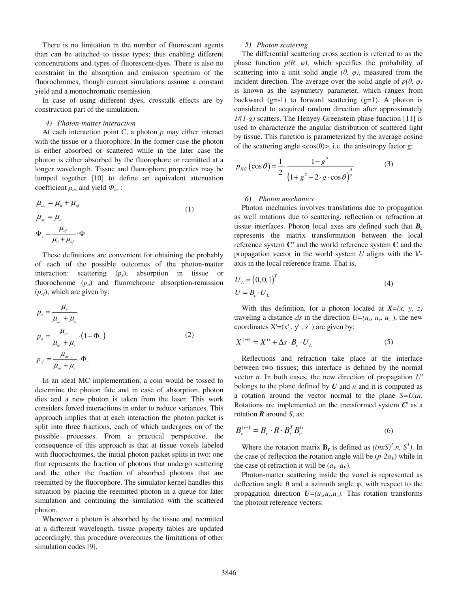There is no limitation in the number of fluorescent agents than can be attached to tissue types; thus enabling different concentrations and types of fluorescent-dyes. There is also no constraint in the absorption and emission spectrum of the fluorochromes, though current simulations assume a constant yield and a monochromatic reemission.

In case of using different dyes, crosstalk effects are by construction part of the simulation.

#### *4) Photon-matter interaction*

At each interaction point C, a photon *p* may either interact with the tissue or a fluorophore. In the former case the photon is either absorbed or scattered while in the later case the photon is either absorbed by the fluorophore or reemitted at a longer wavelength. Tissue and fluorophore properties may be lumped together [10] to define an equivalent attenuation coefficient  $\mu_{ac}$  and yield  $\Phi_{ac}$ :

$$
\mu_{ac} = \mu_a + \mu_{af}
$$
\n
$$
\mu_{sc} = \mu_a
$$
\n
$$
\Phi_c = \frac{\mu_{af}}{\mu_a + \mu_{af}} \cdot \Phi
$$
\n(1)

These definitions are convenient for obtaining the probably of each of the possible outcomes of the photon-matter interaction: scattering (*ps*), absorption in tissue or fluorochrome (*pa*) and fluorochrome absorption-remission (*pef*), which are given by:

$$
p_s = \frac{\mu_s}{\mu_{ac} + \mu_s}
$$
  
\n
$$
p_a = \frac{\mu_{ac}}{\mu_{ac} + \mu_s} \cdot (1 - \Phi_c)
$$
  
\n
$$
p_{ef} = \frac{\mu_{ac}}{\mu_{ac} + \mu_s} \cdot \Phi_c
$$
\n(2)

In an ideal MC implementation, a coin would be tossed to determine the photon fate and in case of absorption, photon dies and a new photon is taken from the laser. This work considers forced interactions in order to reduce variances. This approach implies that at each interaction the photon packet is split into three fractions, each of which undergoes on of the possible processes. From a practical perspective, the consequence of this approach is that at tissue voxels labeled with fluorochromes, the initial photon packet splits in two: one that represents the fraction of photons that undergo scattering and the other the fraction of absorbed photons that are reemitted by the fluorophore. The simulator kernel handles this situation by placing the reemitted photon in a queue for later simulation and continuing the simulation with the scattered photon.

Whenever a photon is absorbed by the tissue and reemitted at a different wavelength, tissue property tables are updated accordingly, this procedure overcomes the limitations of other simulation codes [9].

#### *5) Photon scatering*

The differential scattering cross section is referred to as the phase function  $p(\theta, \varphi)$ , which specifies the probability of scattering into a unit solid angle  $(\theta, \varphi)$ , measured from the incident direction. The average over the solid angle of  $p(\theta, \varphi)$ is known as the asymmetry parameter, which ranges from backward  $(g=1)$  to forward scattering  $(g=1)$ . A photon is considered to acquired random direction after approximately *1/(1-g)* scatters. The Henyey-Greenstein phase function [11] is used to characterize the angular distribution of scattered light by tissue. This function is parameterized by the average cosine of the scattering angle  $\langle \cos(\theta) \rangle$ , i.e. the anisotropy factor g:

$$
p_{HG}(\cos\theta) = \frac{1}{2} \cdot \frac{1 - g^2}{\left(1 + g^2 - 2 \cdot g \cdot \cos\theta\right)^{\frac{3}{2}}}
$$
(3)

#### *6) Photon mechanics*

Photon mechanics involves translations due to propagation as well rotations due to scattering, reflection or refraction at tissue interfaces. Photon local axes are defined such that  $B_c$ represents the matrix transformation between the local reference system **C'** and the world reference system **C** and the propagation vector in the world system *U* aligns with the k' axis in the local reference frame. That is,

$$
U_L = (0, 0, 1)^T
$$
  
\n
$$
U = B_c \cdot U_L
$$
\n(4)

With this definition, for a photon located at  $X=(x, y, z)$ traveling a distance  $\Delta s$  in the direction  $U=(u_x, u_y, u_z)$ , the new coordinates  $X=(x', y', z')$  are given by:

$$
X^{(i+1)} = X^{(i)} + \Delta s \cdot B_c \cdot U_L \tag{5}
$$

Reflections and refraction take place at the interface between two tissues; this interface is defined by the normal vector *n*. In both cases, the new direction of propagation *U'* belongs to the plane defined by *U* and *n* and it is computed as a rotation around the vector normal to the plane *S=Uxn*. Rotations are implemented on the transformed system *C*' as a rotation *R* around *S*, as:

$$
B_c^{(i+1)} = B_r \cdot R \cdot B_r^T B_c^{(i)}
$$
 (6)

Where the rotation matrix  $\mathbf{B}_r$  is defined as *((nxS)<sup>T</sup>,n, S<sup>T</sup>)*. In the case of reflection the rotation angle will be  $(p-2\alpha_V)$  while in the case of refraction it will be  $(a_{V}-a_{V})$ .

Photon-matter scattering inside the voxel is represented as deflection angle  $\theta$  and a azimuth angle  $\varphi$ , with respect to the propagation direction  $U=(u_x, u_y, u_z)$ . This rotation transforms the photont reference vectors: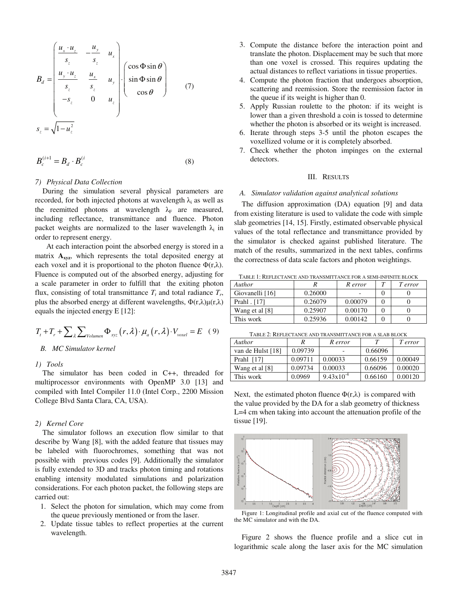$$
B_{d} = \begin{pmatrix} \frac{u_{x} \cdot u_{z}}{s_{z}} & -\frac{u_{y}}{s_{z}} & u_{x} \\ \frac{u_{y} \cdot u_{z}}{s_{z}} & \frac{u_{x}}{s_{z}} & u_{y} \\ -s_{z} & 0 & u_{z} \end{pmatrix} \cdot \begin{pmatrix} \cos \Phi \sin \theta \\ \sin \Phi \sin \theta \\ \cos \theta \end{pmatrix}
$$
 (7)  

$$
s_{z} = \sqrt{1 - u_{z}^{2}}
$$

$$
B_c^{(i+1)} = B_d \cdot B_c^{(i)}
$$
 (8)

# *7) Physical Data Collection*

During the simulation several physical parameters are recorded, for both injected photons at wavelength  $\lambda_i$  as well as the reemitted photons at wavelength  $\lambda_F$  are measured, including reflectance, transmittance and fluence. Photon packet weights are normalized to the laser wavelength  $\lambda_i$  in order to represent energy.

 At each interaction point the absorbed energy is stored in a matrix  $A_{xyz}$ , which represents the total deposited energy at each voxel and it is proportional to the photon fluence  $\Phi(r,\lambda)$ . Fluence is computed out of the absorbed energy, adjusting for a scale parameter in order to fulfill that the exiting photon flux, consisting of total transmittance  $T_t$  and total radiance  $T_t$ , plus the absorbed energy at different wavelengths,  $\Phi(r, \lambda)\mu(r, \lambda)$ equals the injected energy E [12]:

$$
T_t + T_r + \sum_{\lambda} \sum_{\text{Volume}} \Phi_{xyz} (r, \lambda) \cdot \mu_a (r, \lambda) \cdot V_{\text{voxel}} = E \quad (9)
$$

*B. MC Simulator kernel* 

#### *1) Tools*

The simulator has been coded in C++, threaded for multiprocessor environments with OpenMP 3.0 [13] and compiled with Intel Compiler 11.0 (Intel Corp., 2200 Mission College Blvd Santa Clara, CA, USA).

# *2) Kernel Core*

The simulator follows an execution flow similar to that describe by Wang [8], with the added feature that tissues may be labeled with fluorochromes, something that was not possible with previous codes [9]. Additionally the simulator is fully extended to 3D and tracks photon timing and rotations enabling intensity modulated simulations and polarization considerations. For each photon packet, the following steps are carried out:

- 1. Select the photon for simulation, which may come from the queue previously mentioned or from the laser.
- 2. Update tissue tables to reflect properties at the current wavelength.
- 3. Compute the distance before the interaction point and translate the photon. Displacement may be such that more than one voxel is crossed. This requires updating the actual distances to reflect variations in tissue properties.
- 4. Compute the photon fraction that undergoes absorption, scattering and reemission. Store the reemission factor in the queue if its weight is higher than 0.
- 5. Apply Russian roulette to the photon: if its weight is lower than a given threshold a coin is tossed to determine whether the photon is absorbed or its weight is increased.
- 6. Iterate through steps 3-5 until the photon escapes the voxellized volume or it is completely absorbed.
- 7. Check whether the photon impinges on the external detectors.

# III. RESULTS

#### *A. Simulator validation against analytical solutions*

The diffusion approximation (DA) equation [9] and data from existing literature is used to validate the code with simple slab geometries [14, 15]. Firstly, estimated observable physical values of the total reflectance and transmittance provided by the simulator is checked against published literature. The match of the results, summarized in the next tables, confirms the correctness of data scale factors and photon weightings.

TABLE 1: REFLECTANCE AND TRANSMITTANCE FOR A SEMI-INFINITE BLOCK

| Author          |         | R error | $\bm{\tau}$ | T error |
|-----------------|---------|---------|-------------|---------|
| Giovanelli [16] | 0.26000 |         | O           |         |
| Prahl . [17]    | 0.26079 | 0.00079 |             |         |
| Wang et al [8]  | 0.25907 | 0.00170 |             |         |
| This work       | 0.25936 | 0.00142 |             |         |

TABLE 2: REFLECTANCE AND TRANSMITTANCE FOR A SLAB BLOCK

| Author            | R       | R error               |         | T error |
|-------------------|---------|-----------------------|---------|---------|
| van de Hulst [18] | 0.09739 |                       | 0.66096 |         |
| Prahl $[17]$      | 0.09711 | 0.00033               | 0.66159 | 0.00049 |
| Wang et al [8]    | 0.09734 | 0.00033               | 0.66096 | 0.00020 |
| This work         | 0.0969  | $9.43 \times 10^{-4}$ | 0.66160 | 0.00120 |

Next, the estimated photon fluence  $\Phi(r,\lambda)$  is compared with the value provided by the DA for a slab geometry of thickness L=4 cm when taking into account the attenuation profile of the tissue [19].



Figure 1: Longitudinal profile and axial cut of the fluence computed with the MC simulator and with the DA.

Figure 2 shows the fluence profile and a slice cut in logarithmic scale along the laser axis for the MC simulation